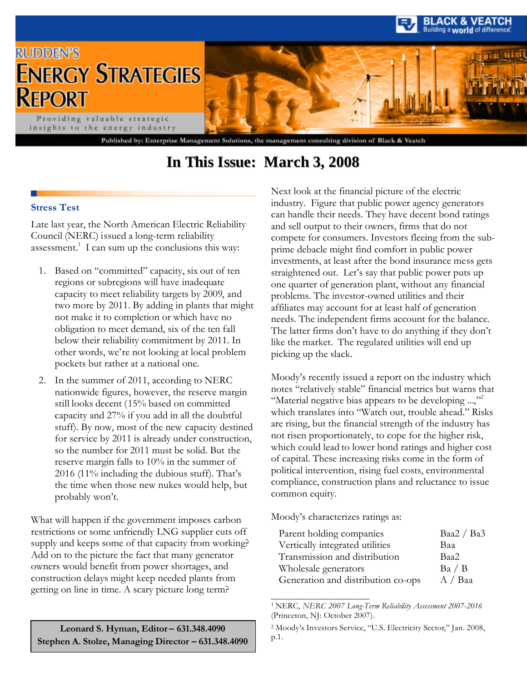

## **In This Issue: March 3, 2008**

#### **Stress Test**

Late last year, the North American Electric Reliability Council (NERC) issued a long-term reliability assessment.<sup>1</sup> I can sum up the conclusions this way:

- 1. Based on "committed" capacity, six out of ten regions or subregions will have inadequate capacity to meet reliability targets by 2009, and two more by 2011. By adding in plants that might not make it to completion or which have no obligation to meet demand, six of the ten fall below their reliability commitment by 2011. In other words, we're not looking at local problem pockets but rather at a national one.
- 2. In the summer of 2011, according to NERC nationwide figures, however, the reserve margin still looks decent (15% based on committed capacity and 27% if you add in all the doubtful stuff). By now, most of the new capacity destined for service by 2011 is already under construction, so the number for 2011 must be solid. But the reserve margin falls to 10% in the summer of 2016 (11% including the dubious stuff). That's the time when those new nukes would help, but probably won't.

What will happen if the government imposes carbon restrictions or some unfriendly LNG supplier cuts off supply and keeps some of that capacity from working? Add on to the picture the fact that many generator owners would benefit from power shortages, and construction delays might keep needed plants from getting on line in time. A scary picture long term?

Next look at the financial picture of the electric industry. Figure that public power agency generators can handle their needs. They have decent bond ratings and sell output to their owners, firms that do not compete for consumers. Investors fleeing from the subprime debacle might find comfort in public power investments, at least after the bond insurance mess gets straightened out. Let's say that public power puts up one quarter of generation plant, without any financial problems. The investor-owned utilities and their affiliates may account for at least half of generation needs. The independent firms account for the balance. The latter firms don't have to do anything if they don't like the market. The regulated utilities will end up picking up the slack.

Moody's recently issued a report on the industry which notes "relatively stable" financial metrics but warns that "Material negative bias appears to be developing ...,"<sup>2</sup> which translates into "Watch out, trouble ahead." Risks are rising, but the financial strength of the industry has not risen proportionately, to cope for the higher risk, which could lead to lower bond ratings and higher cost of capital. These increasing risks come in the form of political intervention, rising fuel costs, environmental compliance, construction plans and reluctance to issue common equity.

Moody's characterizes ratings as:

\_\_\_\_\_\_\_\_\_\_\_\_\_\_\_\_\_\_\_\_\_\_\_

| Parent holding companies           | Baa2 / Ba3 |
|------------------------------------|------------|
| Vertically integrated utilities    | Baa        |
| Transmission and distribution      | Baa2       |
| Wholesale generators               | Ba / B     |
| Generation and distribution co-ops | A / Ba     |

<sup>1</sup> NERC, *NERC 2007 Long-Term Reliability Assessment 2007-2016* (Princeton, NJ: October 2007).

**Leonard S. Hyman, Editor – 631.348.4090 Stephen A. Stolze, Managing Director – 631.348.4090**

<sup>2</sup> Moody's Investors Service, "U.S. Electricity Sector," Jan. 2008, p.1.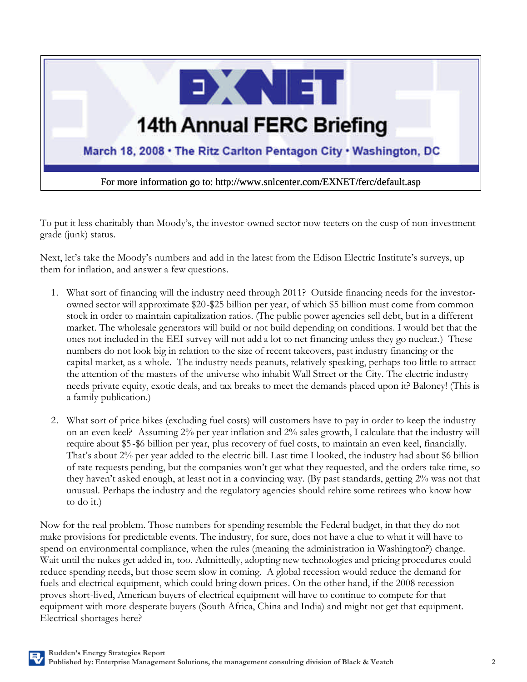

To put it less charitably than Moody's, the investor-owned sector now teeters on the cusp of non-investment grade (junk) status.

Next, let's take the Moody's numbers and add in the latest from the Edison Electric Institute's surveys, up them for inflation, and answer a few questions.

- 1. What sort of financing will the industry need through 2011? Outside financing needs for the investorowned sector will approximate \$20-\$25 billion per year, of which \$5 billion must come from common stock in order to maintain capitalization ratios. (The public power agencies sell debt, but in a different market. The wholesale generators will build or not build depending on conditions. I would bet that the ones not included in the EEI survey will not add a lot to net financing unless they go nuclear.) These numbers do not look big in relation to the size of recent takeovers, past industry financing or the capital market, as a whole. The industry needs peanuts, relatively speaking, perhaps too little to attract the attention of the masters of the universe who inhabit Wall Street or the City. The electric industry needs private equity, exotic deals, and tax breaks to meet the demands placed upon it? Baloney! (This is a family publication.)
- 2. What sort of price hikes (excluding fuel costs) will customers have to pay in order to keep the industry on an even keel? Assuming 2% per year inflation and 2% sales growth, I calculate that the industry will require about \$5 -\$6 billion per year, plus recovery of fuel costs, to maintain an even keel, financially. That's about 2% per year added to the electric bill. Last time I looked, the industry had about \$6 billion of rate requests pending, but the companies won't get what they requested, and the orders take time, so they haven't asked enough, at least not in a convincing way. (By past standards, getting 2% was not that unusual. Perhaps the industry and the regulatory agencies should rehire some retirees who know how to do it.)

Now for the real problem. Those numbers for spending resemble the Federal budget, in that they do not make provisions for predictable events. The industry, for sure, does not have a clue to what it will have to spend on environmental compliance, when the rules (meaning the administration in Washington?) change. Wait until the nukes get added in, too. Admittedly, adopting new technologies and pricing procedures could reduce spending needs, but those seem slow in coming. A global recession would reduce the demand for fuels and electrical equipment, which could bring down prices. On the other hand, if the 2008 recession proves short-lived, American buyers of electrical equipment will have to continue to compete for that equipment with more desperate buyers (South Africa, China and India) and might not get that equipment. Electrical shortages here?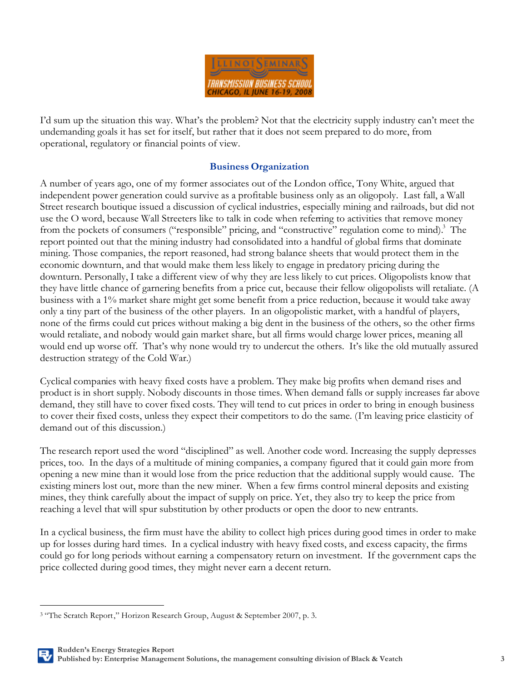

I'd sum up the situation this way. What's the problem? Not that the electricity supply industry can't meet the undemanding goals it has set for itself, but rather that it does not seem prepared to do more, from operational, regulatory or financial points of view.

#### **Business Organization**

A number of years ago, one of my former associates out of the London office, Tony White, argued that independent power generation could survive as a profitable business only as an oligopoly. Last fall, a Wall Street research boutique issued a discussion of cyclical industries, especially mining and railroads, but did not use the O word, because Wall Streeters like to talk in code when referring to activities that remove money from the pockets of consumers ("responsible" pricing, and "constructive" regulation come to mind).<sup>3</sup> The report pointed out that the mining industry had consolidated into a handful of global firms that dominate mining. Those companies, the report reasoned, had strong balance sheets that would protect them in the economic downturn, and that would make them less likely to engage in predatory pricing during the downturn. Personally, I take a different view of why they are less likely to cut prices. Oligopolists know that they have little chance of garnering benefits from a price cut, because their fellow oligopolists will retaliate. (A business with a 1% market share might get some benefit from a price reduction, because it would take away only a tiny part of the business of the other players. In an oligopolistic market, with a handful of players, none of the firms could cut prices without making a big dent in the business of the others, so the other firms would retaliate, and nobody would gain market share, but all firms would charge lower prices, meaning all would end up worse off. That's why none would try to undercut the others. It's like the old mutually assured destruction strategy of the Cold War.)

Cyclical companies with heavy fixed costs have a problem. They make big profits when demand rises and product is in short supply. Nobody discounts in those times. When demand falls or supply increases far above demand, they still have to cover fixed costs. They will tend to cut prices in order to bring in enough business to cover their fixed costs, unless they expect their competitors to do the same. (I'm leaving price elasticity of demand out of this discussion.)

The research report used the word "disciplined" as well. Another code word. Increasing the supply depresses prices, too. In the days of a multitude of mining companies, a company figured that it could gain more from opening a new mine than it would lose from the price reduction that the additional supply would cause. The existing miners lost out, more than the new miner. When a few firms control mineral deposits and existing mines, they think carefully about the impact of supply on price. Yet, they also try to keep the price from reaching a level that will spur substitution by other products or open the door to new entrants.

In a cyclical business, the firm must have the ability to collect high prices during good times in order to make up for losses during hard times. In a cyclical industry with heavy fixed costs, and excess capacity, the firms could go for long periods without earning a compensatory return on investment. If the government caps the price collected during good times, they might never earn a decent return.

 $\overline{a}$ 

<sup>&</sup>lt;sup>3</sup> "The Scratch Report," Horizon Research Group, August & September 2007, p. 3.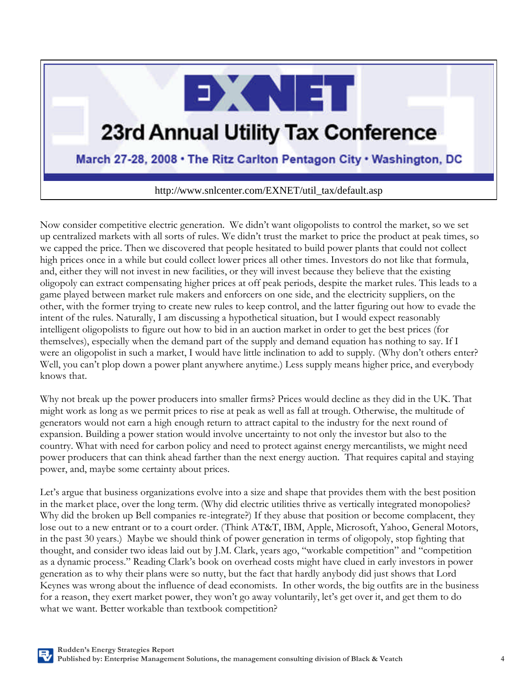

# **23rd Annual Utility Tax Conference**

### March 27-28, 2008 . The Ritz Carlton Pentagon City . Washington, DC

http://www.snlcenter.com/EXNET/util\_tax/default.asp

Now consider competitive electric generation. We didn't want oligopolists to control the market, so we set up centralized markets with all sorts of rules. We didn't trust the market to price the product at peak times, so we capped the price. Then we discovered that people hesitated to build power plants that could not collect high prices once in a while but could collect lower prices all other times. Investors do not like that formula, and, either they will not invest in new facilities, or they will invest because they believe that the existing oligopoly can extract compensating higher prices at off peak periods, despite the market rules. This leads to a game played between market rule makers and enforcers on one side, and the electricity suppliers, on the other, with the former trying to create new rules to keep control, and the latter figuring out how to evade the intent of the rules. Naturally, I am discussing a hypothetical situation, but I would expect reasonably intelligent oligopolists to figure out how to bid in an auction market in order to get the best prices (for themselves), especially when the demand part of the supply and demand equation has nothing to say. If I were an oligopolist in such a market, I would have little inclination to add to supply. (Why don't others enter? Well, you can't plop down a power plant anywhere anytime.) Less supply means higher price, and everybody knows that.

Why not break up the power producers into smaller firms? Prices would decline as they did in the UK. That might work as long as we permit prices to rise at peak as well as fall at trough. Otherwise, the multitude of generators would not earn a high enough return to attract capital to the industry for the next round of expansion. Building a power station would involve uncertainty to not only the investor but also to the country. What with need for carbon policy and need to protect against energy mercantilists, we might need power producers that can think ahead farther than the next energy auction. That requires capital and staying power, and, maybe some certainty about prices.

Let's argue that business organizations evolve into a size and shape that provides them with the best position in the market place, over the long term. (Why did electric utilities thrive as vertically integrated monopolies? Why did the broken up Bell companies re-integrate?) If they abuse that position or become complacent, they lose out to a new entrant or to a court order. (Think AT&T, IBM, Apple, Microsoft, Yahoo, General Motors, in the past 30 years.) Maybe we should think of power generation in terms of oligopoly, stop fighting that thought, and consider two ideas laid out by J.M. Clark, years ago, "workable competition" and "competition as a dynamic process." Reading Clark's book on overhead costs might have clued in early investors in power generation as to why their plans were so nutty, but the fact that hardly anybody did just shows that Lord Keynes was wrong about the influence of dead economists. In other words, the big outfits are in the business for a reason, they exert market power, they won't go away voluntarily, let's get over it, and get them to do what we want. Better workable than textbook competition?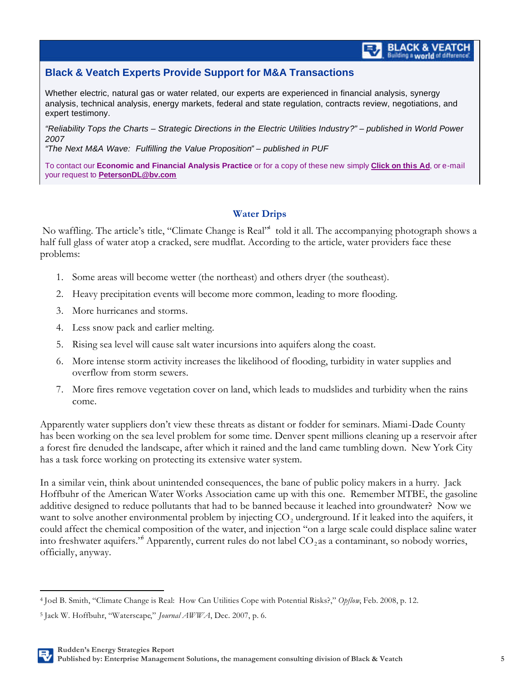#### **Black & Veatch Experts Provide Support for M&A Transactions**

Whether electric, natural gas or water related, our experts are experienced in financial analysis, synergy analysis, technical analysis, energy markets, federal and state regulation, contracts review, negotiations, and expert testimony.

*"Reliability Tops the Charts – Strategic Directions in the Electric Utilities Industry?" – published in World Power 2007*

*"The Next M&A Wave: Fulfilling the Value Proposition" – published in PUF*

To contact our **Economic and Financial Analysis Practice** or for a copy of these new simply **Click on this Ad**, or e-mail your request to **PetersonDL@bv.com**

#### **Water Drips**

No waffling. The article's title, "Climate Change is Real"<sup>4</sup> told it all. The accompanying photograph shows a half full glass of water atop a cracked, sere mudflat. According to the article, water providers face these problems:

- 1. Some areas will become wetter (the northeast) and others dryer (the southeast).
- 2. Heavy precipitation events will become more common, leading to more flooding.
- 3. More hurricanes and storms.
- 4. Less snow pack and earlier melting.
- 5. Rising sea level will cause salt water incursions into aquifers along the coast.
- 6. More intense storm activity increases the likelihood of flooding, turbidity in water supplies and overflow from storm sewers.
- 7. More fires remove vegetation cover on land, which leads to mudslides and turbidity when the rains come.

Apparently water suppliers don't view these threats as distant or fodder for seminars. Miami-Dade County has been working on the sea level problem for some time. Denver spent millions cleaning up a reservoir after a forest fire denuded the landscape, after which it rained and the land came tumbling down. New York City has a task force working on protecting its extensive water system.

In a similar vein, think about unintended consequences, the bane of public policy makers in a hurry. Jack Hoffbuhr of the American Water Works Association came up with this one. Remember MTBE, the gasoline additive designed to reduce pollutants that had to be banned because it leached into groundwater? Now we want to solve another environmental problem by injecting  $CO_2$  underground. If it leaked into the aquifers, it could affect the chemical composition of the water, and injection "on a large scale could displace saline water into freshwater aquifers." Apparently, current rules do not label  $\mathrm{CO}_2$ as a contaminant, so nobody worries, officially, anyway.

 $\overline{a}$ <sup>4</sup> Joel B. Smith, "Climate Change is Real: How Can Utilities Cope with Potential Risks?," *Opflow*, Feb. 2008, p. 12.

<sup>5</sup> Jack W. Hoffbuhr, "Waterscape," *Journal AWWA*, Dec. 2007, p. 6.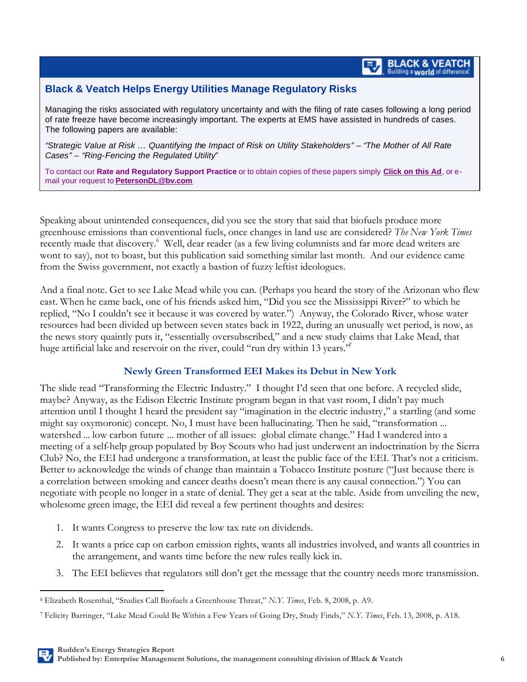## **BLACK & VEATCH**<br>Building a world of difference

#### **Black & Veatch Helps Energy Utilities Manage Regulatory Risks**

Managing the risks associated with regulatory uncertainty and with the filing of rate cases following a long period of rate freeze have become increasingly important. The experts at EMS have assisted in hundreds of cases. The following papers are available:

*"Strategic Value at Risk … Quantifying the Impact of Risk on Utility Stakeholders" – "The Mother of All Rate Cases" – "Ring-Fencing the Regulated Utility"*

To contact our **Rate and Regulatory Support Practice** or to obtain copies of these papers simply **Click on this Ad**, or email your request to **PetersonDL@bv.com**

Speaking about unintended consequences, did you see the story that said that biofuels produce more greenhouse emissions than conventional fuels, once changes in land use are considered? *The New York Times* recently made that discovery.<sup>6</sup> Well, dear reader (as a few living columnists and far more dead writers are wont to say), not to boast, but this publication said something similar last month. And our evidence came from the Swiss government, not exactly a bastion of fuzzy leftist ideologues.

And a final note. Get to see Lake Mead while you can. (Perhaps you heard the story of the Arizonan who flew east. When he came back, one of his friends asked him, "Did you see the Mississippi River?" to which he replied, "No I couldn't see it because it was covered by water.") Anyway, the Colorado River, whose water resources had been divided up between seven states back in 1922, during an unusually wet period, is now, as the news story quaintly puts it, "essentially oversubscribed," and a new study claims that Lake Mead, that huge artificial lake and reservoir on the river, could "run dry within 13 years."

#### **Newly Green Transformed EEI Makes its Debut in New York**

The slide read "Transforming the Electric Industry." I thought I'd seen that one before. A recycled slide, maybe? Anyway, as the Edison Electric Institute program began in that vast room, I didn't pay much attention until I thought I heard the president say "imagination in the electric industry," a startling (and some might say oxymoronic) concept. No, I must have been hallucinating. Then he said, "transformation ... watershed ... low carbon future ... mother of all issues: global climate change." Had I wandered into a meeting of a self-help group populated by Boy Scouts who had just underwent an indoctrination by the Sierra Club? No, the EEI had undergone a transformation, at least the public face of the EEI. That's not a criticism. Better to acknowledge the winds of change than maintain a Tobacco Institute posture ("Just because there is a correlation between smoking and cancer deaths doesn't mean there is any causal connection.") You can negotiate with people no longer in a state of denial. They get a seat at the table. Aside from unveiling the new, wholesome green image, the EEI did reveal a few pertinent thoughts and desires:

1. It wants Congress to preserve the low tax rate on dividends.

 $\overline{a}$ 

- 2. It wants a price cap on carbon emission rights, wants all industries involved, and wants all countries in the arrangement, and wants time before the new rules really kick in.
- 3. The EEI believes that regulators still don't get the message that the country needs more transmission.

<sup>6</sup> Elizabeth Rosenthal, "Studies Call Biofuels a Greenhouse Threat," *N.Y. Times*, Feb. 8, 2008, p. A9.

<sup>7</sup> Felicity Barringer, "Lake Mead Could Be Within a Few Years of Going Dry, Study Finds," *N.Y. Times*, Feb. 13, 2008, p. A18.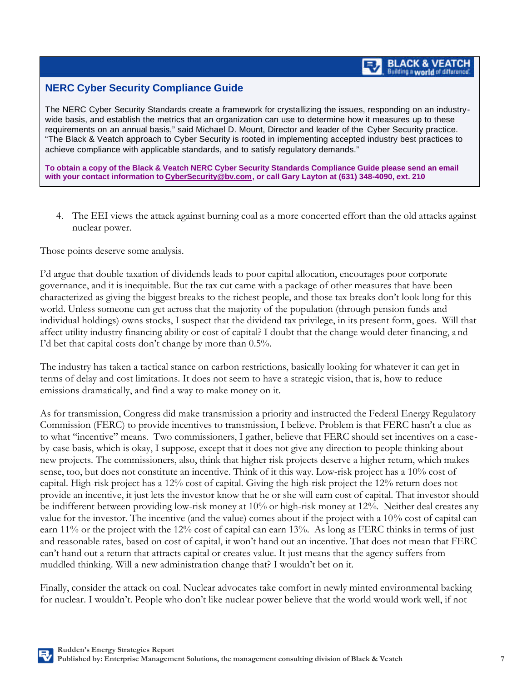#### **NERC Cyber Security Compliance Guide**

The NERC Cyber Security Standards create a framework for crystallizing the issues, responding on an industrywide basis, and establish the metrics that an organization can use to determine how it measures up to these requirements on an annual basis," said Michael D. Mount, Director and leader of the Cyber Security practice. "The Black & Veatch approach to Cyber Security is rooted in implementing accepted industry best practices to achieve compliance with applicable standards, and to satisfy regulatory demands."

**To obtain a copy of the Black & Veatch NERC Cyber Security Standards Compliance Guide please send an email with your contact information to CyberSecurity@bv.com, or call Gary Layton at (631) 348-4090, ext. 210**

4. The EEI views the attack against burning coal as a more concerted effort than the old attacks against nuclear power.

Those points deserve some analysis.

I'd argue that double taxation of dividends leads to poor capital allocation, encourages poor corporate governance, and it is inequitable. But the tax cut came with a package of other measures that have been characterized as giving the biggest breaks to the richest people, and those tax breaks don't look long for this world. Unless someone can get across that the majority of the population (through pension funds and individual holdings) owns stocks, I suspect that the dividend tax privilege, in its present form, goes. Will that affect utility industry financing ability or cost of capital? I doubt that the change would deter financing, and I'd bet that capital costs don't change by more than 0.5%.

The industry has taken a tactical stance on carbon restrictions, basically looking for whatever it can get in terms of delay and cost limitations. It does not seem to have a strategic vision, that is, how to reduce emissions dramatically, and find a way to make money on it.

As for transmission, Congress did make transmission a priority and instructed the Federal Energy Regulatory Commission (FERC) to provide incentives to transmission, I believe. Problem is that FERC hasn't a clue as to what "incentive" means. Two commissioners, I gather, believe that FERC should set incentives on a caseby-case basis, which is okay, I suppose, except that it does not give any direction to people thinking about new projects. The commissioners, also, think that higher risk projects deserve a higher return, which makes sense, too, but does not constitute an incentive. Think of it this way. Low-risk project has a 10% cost of capital. High-risk project has a 12% cost of capital. Giving the high-risk project the 12% return does not provide an incentive, it just lets the investor know that he or she will earn cost of capital. That investor should be indifferent between providing low-risk money at 10% or high-risk money at 12%. Neither deal creates any value for the investor. The incentive (and the value) comes about if the project with a 10% cost of capital can earn 11% or the project with the 12% cost of capital can earn 13%. As long as FERC thinks in terms of just and reasonable rates, based on cost of capital, it won't hand out an incentive. That does not mean that FERC can't hand out a return that attracts capital or creates value. It just means that the agency suffers from muddled thinking. Will a new administration change that? I wouldn't bet on it.

Finally, consider the attack on coal. Nuclear advocates take comfort in newly minted environmental backing for nuclear. I wouldn't. People who don't like nuclear power believe that the world would work well, if not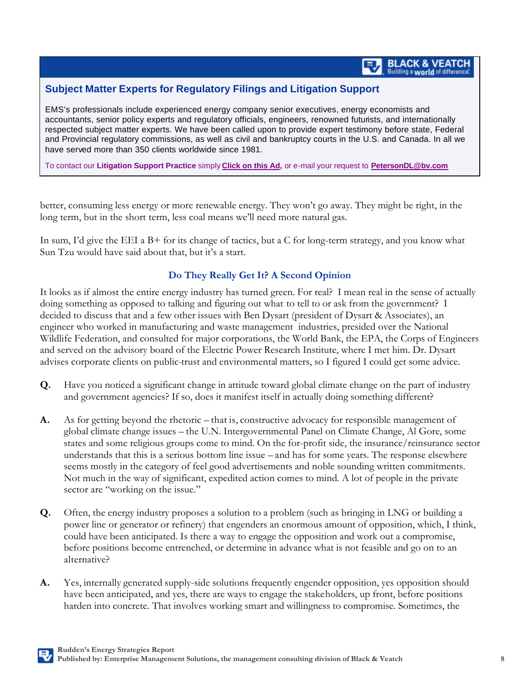#### **Subject Matter Experts for Regulatory Filings and Litigation Support**

EMS's professionals include experienced energy company senior executives, energy economists and accountants, senior policy experts and regulatory officials, engineers, renowned futurists, and internationally respected subject matter experts. We have been called upon to provide expert testimony before state, Federal and Provincial regulatory commissions, as well as civil and bankruptcy courts in the U.S. and Canada. In all we have served more than 350 clients worldwide since 1981.

To contact our **Litigation Support Practice** simply **Click on this Ad,** or e-mail your request to **PetersonDL@bv.com**

better, consuming less energy or more renewable energy. They won't go away. They might be right, in the long term, but in the short term, less coal means we'll need more natural gas.

In sum, I'd give the EEI a B+ for its change of tactics, but a C for long-term strategy, and you know what Sun Tzu would have said about that, but it's a start.

#### **Do They Really Get It? A Second Opinion**

It looks as if almost the entire energy industry has turned green. For real? I mean real in the sense of actually doing something as opposed to talking and figuring out what to tell to or ask from the government? I decided to discuss that and a few other issues with Ben Dysart (president of Dysart & Associates), an engineer who worked in manufacturing and waste management industries, presided over the National Wildlife Federation, and consulted for major corporations, the World Bank, the EPA, the Corps of Engineers and served on the advisory board of the Electric Power Research Institute, where I met him. Dr. Dysart advises corporate clients on public-trust and environmental matters, so I figured I could get some advice.

- **Q.** Have you noticed a significant change in attitude toward global climate change on the part of industry and government agencies? If so, does it manifest itself in actually doing something different?
- **A.** As for getting beyond the rhetoric that is, constructive advocacy for responsible management of global climate change issues – the U.N. Intergovernmental Panel on Climate Change, Al Gore, some states and some religious groups come to mind. On the for-profit side, the insurance/reinsurance sector understands that this is a serious bottom line issue – and has for some years. The response elsewhere seems mostly in the category of feel good advertisements and noble sounding written commitments. Not much in the way of significant, expedited action comes to mind. A lot of people in the private sector are "working on the issue."
- **Q.** Often, the energy industry proposes a solution to a problem (such as bringing in LNG or building a power line or generator or refinery) that engenders an enormous amount of opposition, which, I think, could have been anticipated. Is there a way to engage the opposition and work out a compromise, before positions become entrenched, or determine in advance what is not feasible and go on to an alternative?
- **A.** Yes, internally generated supply-side solutions frequently engender opposition, yes opposition should have been anticipated, and yes, there are ways to engage the stakeholders, up front, before positions harden into concrete. That involves working smart and willingness to compromise. Sometimes, the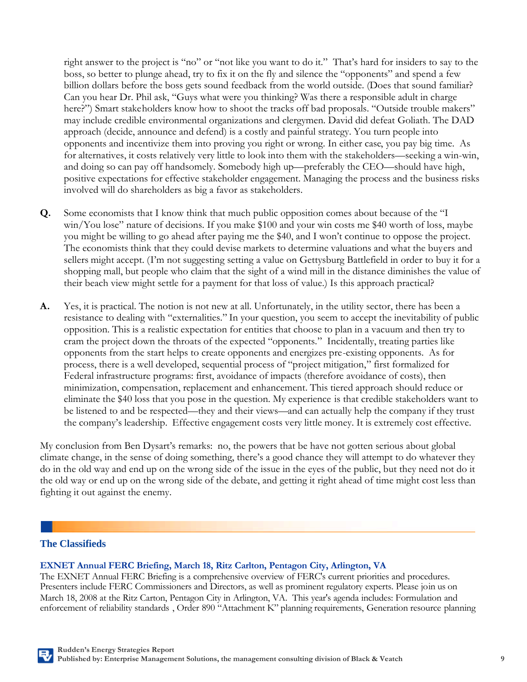right answer to the project is "no" or "not like you want to do it." That's hard for insiders to say to the boss, so better to plunge ahead, try to fix it on the fly and silence the "opponents" and spend a few billion dollars before the boss gets sound feedback from the world outside. (Does that sound familiar? Can you hear Dr. Phil ask, "Guys what were you thinking? Was there a responsible adult in charge here?") Smart stakeholders know how to shoot the tracks off bad proposals. "Outside trouble makers" may include credible environmental organizations and clergymen. David did defeat Goliath. The DAD approach (decide, announce and defend) is a costly and painful strategy. You turn people into opponents and incentivize them into proving you right or wrong. In either case, you pay big time. As for alternatives, it costs relatively very little to look into them with the stakeholders—seeking a win-win, and doing so can pay off handsomely. Somebody high up—preferably the CEO—should have high, positive expectations for effective stakeholder engagement. Managing the process and the business risks involved will do shareholders as big a favor as stakeholders.

- **Q.** Some economists that I know think that much public opposition comes about because of the "I win/You lose" nature of decisions. If you make \$100 and your win costs me \$40 worth of loss, maybe you might be willing to go ahead after paying me the \$40, and I won't continue to oppose the project. The economists think that they could devise markets to determine valuations and what the buyers and sellers might accept. (I'm not suggesting setting a value on Gettysburg Battlefield in order to buy it for a shopping mall, but people who claim that the sight of a wind mill in the distance diminishes the value of their beach view might settle for a payment for that loss of value.) Is this approach practical?
- **A.** Yes, it is practical. The notion is not new at all. Unfortunately, in the utility sector, there has been a resistance to dealing with "externalities." In your question, you seem to accept the inevitability of public opposition. This is a realistic expectation for entities that choose to plan in a vacuum and then try to cram the project down the throats of the expected "opponents." Incidentally, treating parties like opponents from the start helps to create opponents and energizes pre-existing opponents. As for process, there is a well developed, sequential process of "project mitigation," first formalized for Federal infrastructure programs: first, avoidance of impacts (therefore avoidance of costs), then minimization, compensation, replacement and enhancement. This tiered approach should reduce or eliminate the \$40 loss that you pose in the question. My experience is that credible stakeholders want to be listened to and be respected—they and their views—and can actually help the company if they trust the company's leadership. Effective engagement costs very little money. It is extremely cost effective.

My conclusion from Ben Dysart's remarks: no, the powers that be have not gotten serious about global climate change, in the sense of doing something, there's a good chance they will attempt to do whatever they do in the old way and end up on the wrong side of the issue in the eyes of the public, but they need not do it the old way or end up on the wrong side of the debate, and getting it right ahead of time might cost less than fighting it out against the enemy.

#### **The Classifieds**

#### **EXNET Annual FERC Briefing, March 18, Ritz Carlton, Pentagon City, Arlington, VA**

The EXNET Annual FERC Briefing is a comprehensive overview of FERC's current priorities and procedures. Presenters include FERC Commissioners and Directors, as well as prominent regulatory experts. Please join us on March 18, 2008 at the Ritz Carton, Pentagon City in Arlington, VA. This year's agenda includes: Formulation and enforcement of reliability standards , Order 890 "Attachment K" planning requirements, Generation resource planning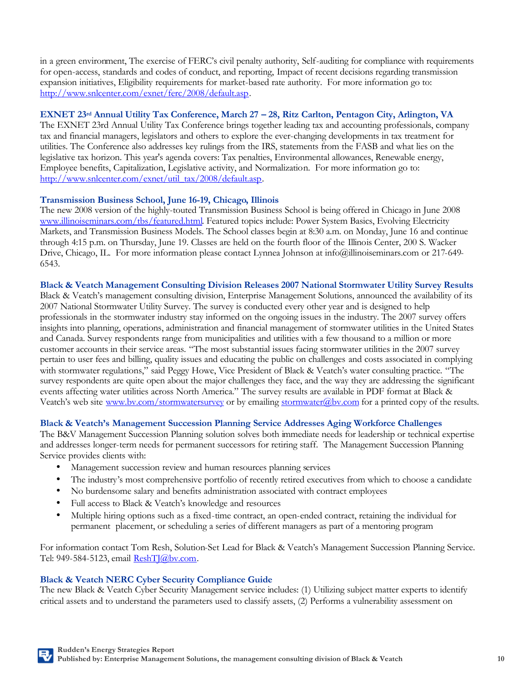in a green environment, The exercise of FERC's civil penalty authority, Self-auditing for compliance with requirements for open-access, standards and codes of conduct, and reporting, Impact of recent decisions regarding transmission expansion initiatives, Eligibility requirements for market-based rate authority. For more information go to: http://www.snlcenter.com/exnet/ferc/2008/default.asp.

#### **EXNET 23rd Annual Utility Tax Conference, March 27 – 28, Ritz Carlton, Pentagon City, Arlington, VA**

The EXNET 23rd Annual Utility Tax Conference brings together leading tax and accounting professionals, company tax and financial managers, legislators and others to explore the ever-changing developments in tax treatment for utilities. The Conference also addresses key rulings from the IRS, statements from the FASB and what lies on the legislative tax horizon. This year's agenda covers: Tax penalties, Environmental allowances, Renewable energy, Employee benefits, Capitalization, Legislative activity, and Normalization. For more information go to: http://www.snlcenter.com/exnet/util\_tax/2008/default.asp.

#### **Transmission Business School, June 16-19, Chicago, Illinois**

The new 2008 version of the highly-touted Transmission Business School is being offered in Chicago in June 2008 www.illinoiseminars.com/tbs/featured.html. Featured topics include: Power System Basics, Evolving Electricity Markets, and Transmission Business Models. The School classes begin at 8:30 a.m. on Monday, June 16 and continue through 4:15 p.m. on Thursday, June 19. Classes are held on the fourth floor of the Illinois Center, 200 S. Wacker Drive, Chicago, IL. For more information please contact Lynnea Johnson at info@illinoiseminars.com or 217-649-6543.

**Black & Veatch Management Consulting Division Releases 2007 National Stormwater Utility Survey Results**  Black & Veatch's management consulting division, Enterprise Management Solutions, announced the availability of its 2007 National Stormwater Utility Survey. The survey is conducted every other year and is designed to help professionals in the stormwater industry stay informed on the ongoing issues in the industry. The 2007 survey offers insights into planning, operations, administration and financial management of stormwater utilities in the United States and Canada. Survey respondents range from municipalities and utilities with a few thousand to a million or more customer accounts in their service areas. "The most substantial issues facing stormwater utilities in the 2007 survey pertain to user fees and billing, quality issues and educating the public on challenges and costs associated in complying with stormwater regulations," said Peggy Howe, Vice President of Black & Veatch's water consulting practice. "The survey respondents are quite open about the major challenges they face, and the way they are addressing the significant events affecting water utilities across North America." The survey results are available in PDF format at Black & Veatch's web site www.bv.com/stormwatersurvey or by emailing stormwater@bv.com for a printed copy of the results.

#### **Black & Veatch's Management Succession Planning Service Addresses Aging Workforce Challenges**

The B&V Management Succession Planning solution solves both immediate needs for leadership or technical expertise and addresses longer-term needs for permanent successors for retiring staff. The Management Succession Planning Service provides clients with:

- Management succession review and human resources planning services
- The industry's most comprehensive portfolio of recently retired executives from which to choose a candidate
- No burdensome salary and benefits administration associated with contract employees
- Full access to Black & Veatch's knowledge and resources
- Multiple hiring options such as a fixed-time contract, an open-ended contract, retaining the individual for permanent placement, or scheduling a series of different managers as part of a mentoring program

For information contact Tom Resh, Solution-Set Lead for Black & Veatch's Management Succession Planning Service. Tel: 949-584-5123, email ReshTJ@bv.com.

#### **Black & Veatch NERC Cyber Security Compliance Guide**

The new Black & Veatch Cyber Security Management service includes: (1) Utilizing subject matter experts to identify critical assets and to understand the parameters used to classify assets, (2) Performs a vulnerability assessment on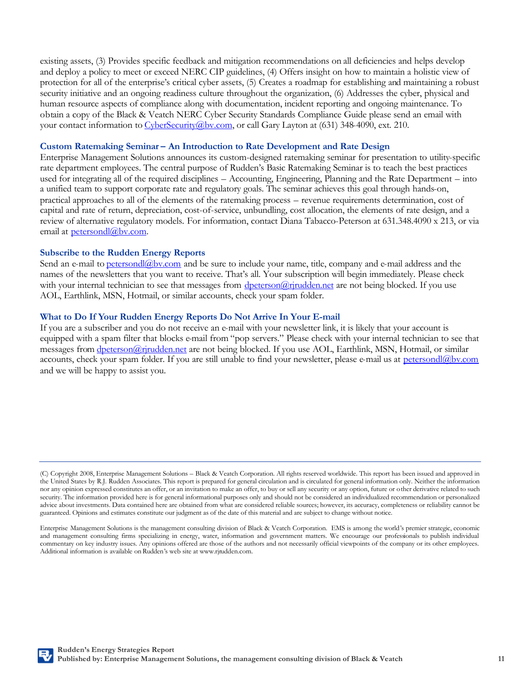existing assets, (3) Provides specific feedback and mitigation recommendations on all deficiencies and helps develop and deploy a policy to meet or exceed NERC CIP guidelines, (4) Offers insight on how to maintain a holistic view of protection for all of the enterprise's critical cyber assets, (5) Creates a roadmap for establishing and maintaining a robust security initiative and an ongoing readiness culture throughout the organization, (6) Addresses the cyber, physical and human resource aspects of compliance along with documentation, incident reporting and ongoing maintenance. To obtain a copy of the Black & Veatch NERC Cyber Security Standards Compliance Guide please send an email with your contact information to CyberSecurity@bv.com, or call Gary Layton at (631) 348-4090, ext. 210.

#### **Custom Ratemaking Seminar – An Introduction to Rate Development and Rate Design**

Enterprise Management Solutions announces its custom-designed ratemaking seminar for presentation to utility-specific rate department employees. The central purpose of Rudden's Basic Ratemaking Seminar is to teach the best practices used for integrating all of the required disciplines – Accounting, Engineering, Planning and the Rate Department – into a unified team to support corporate rate and regulatory goals. The seminar achieves this goal through hands-on, practical approaches to all of the elements of the ratemaking process – revenue requirements determination, cost of capital and rate of return, depreciation, cost-of-service, unbundling, cost allocation, the elements of rate design, and a review of alternative regulatory models. For information, contact Diana Tabacco-Peterson at 631.348.4090 x 213, or via email at **petersondl@bv.com**.

#### **Subscribe to the Rudden Energy Reports**

Send an e-mail to petersondl@bv.com and be sure to include your name, title, company and e-mail address and the names of the newsletters that you want to receive. That's all. Your subscription will begin immediately. Please check with your internal technician to see that messages from **d**peterson@rjrudden.net are not being blocked. If you use AOL, Earthlink, MSN, Hotmail, or similar accounts, check your spam folder.

#### **What to Do If Your Rudden Energy Reports Do Not Arrive In Your E-mail**

If you are a subscriber and you do not receive an e-mail with your newsletter link, it is likely that your account is equipped with a spam filter that blocks e-mail from "pop servers." Please check with your internal technician to see that messages from dpeterson@rjrudden.net are not being blocked. If you use AOL, Earthlink, MSN, Hotmail, or similar accounts, check your spam folder. If you are still unable to find your newsletter, please e-mail us at petersondl@bv.com and we will be happy to assist you.



<sup>(</sup>C) Copyright 2008, Enterprise Management Solutions – Black & Veatch Corporation. All rights reserved worldwide. This report has been issued and approved in the United States by R.J. Rudden Associates. This report is prepared for general circulation and is circulated for general information only. Neither the information nor any opinion expressed constitutes an offer, or an invitation to make an offer, to buy or sell any security or any option, future or other derivative related to such security. The information provided here is for general informational purposes only and should not be considered an individualized recommendation or personalized advice about investments. Data contained here are obtained from what are considered reliable sources; however, its accuracy, completeness or reliability cannot be guaranteed. Opinions and estimates constitute our judgment as of the date of this material and are subject to change without notice.

Enterprise Management Solutions is the management consulting division of Black & Veatch Corporation. EMS is among the world's premier strategic, economic and management consulting firms specializing in energy, water, information and government matters. We encourage our professionals to publish individual commentary on key industry issues. Any opinions offered are those of the authors and not necessarily official viewpoints of the company or its other employees. Additional information is available on Rudden's web site at www.rjrudden.com.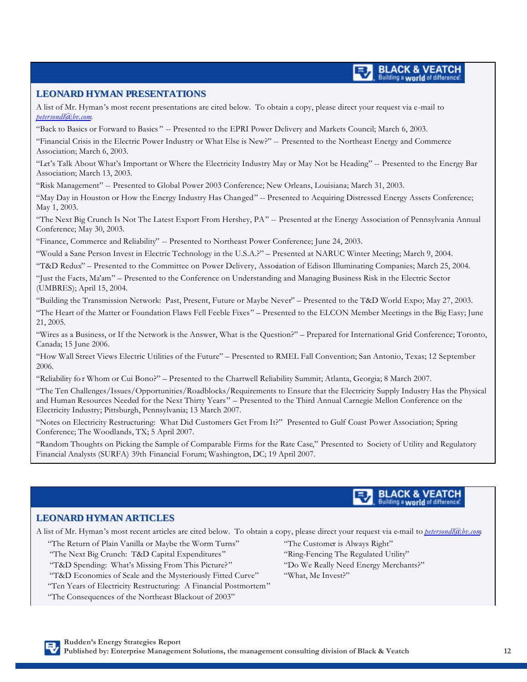#### **LEONARD HYMAN PRESENTATIONS**

A list of Mr. Hyman's most recent presentations are cited below. To obtain a copy, please direct your request via e-mail to *petersondl@bv.com*.

"Back to Basics or Forward to Basics " -- Presented to the EPRI Power Delivery and Markets Council; March 6, 2003.

"Financial Crisis in the Electric Power Industry or What Else is New?" -- Presented to the Northeast Energy and Commerce Association; March 6, 2003.

"Let's Talk About What's Important or Where the Electricity Industry May or May Not be Heading" -- Presented to the Energy Bar Association; March 13, 2003.

"Risk Management" -- Presented to Global Power 2003 Conference; New Orleans, Louisiana; March 31, 2003.

"May Day in Houston or How the Energy Industry Has Changed" -- Presented to Acquiring Distressed Energy Assets Conference; May 1, 2003.

"The Next Big Crunch Is Not The Latest Export From Hershey, PA" -- Presented at the Energy Association of Pennsylvania Annual Conference; May 30, 2003.

"Finance, Commerce and Reliability" -- Presented to Northeast Power Conference; June 24, 2003.

"Would a Sane Person Invest in Electric Technology in the U.S.A.?" – Presented at NARUC Winter Meeting; March 9, 2004.

"T&D Redux" – Presented to the Committee on Power Delivery, Association of Edison Illuminating Companies; March 25, 2004.

"Just the Facts, Ma'am" – Presented to the Conference on Understanding and Managing Business Risk in the Electric Sector (UMBRES); April 15, 2004.

"Building the Transmission Network: Past, Present, Future or Maybe Never" – Presented to the T&D World Expo; May 27, 2003.

"The Heart of the Matter or Foundation Flaws Fell Feeble Fixes" – Presented to the ELCON Member Meetings in the Big Easy; June 21, 2005.

"Wires as a Business, or If the Network is the Answer, What is the Question?" – Prepared for International Grid Conference; Toronto, Canada; 15 June 2006.

"How Wall Street Views Electric Utilities of the Future" – Presented to RMEL Fall Convention; San Antonio, Texas; 12 September 2006.

"Reliability fo r Whom or Cui Bono?" – Presented to the Chartwell Reliability Summit; Atlanta, Georgia; 8 March 2007.

"The Ten Challenges/Issues/Opportunities/Roadblocks/Requirements to Ensure that the Electricity Supply Industry Has the Physical and Human Resources Needed for the Next Thirty Years" – Presented to the Third Annual Carnegie Mellon Conference on the Electricity Industry; Pittsburgh, Pennsylvania; 13 March 2007.

"Notes on Electricity Restructuring: What Did Customers Get From It?" Presented to Gulf Coast Power Association; Spring Conference; The Woodlands, TX; 5 April 2007.

"Random Thoughts on Picking the Sample of Comparable Firms for the Rate Case," Presented to Society of Utility and Regulatory Financial Analysts (SURFA) 39th Financial Forum; Washington, DC; 19 April 2007.

#### **BLACK & VEATCH Building a world of difference**

#### **LEONARD HYMAN ARTICLES**

A list of Mr. Hyman's most recent articles are cited below. To obtain a copy, please direct your request via e-mail to *petersondl@bv.com*.

"The Return of Plain Vanilla or Maybe the Worm Turns" "The Customer is Always Right"

- "The Next Big Crunch: T&D Capital Expenditures" "Ring-Fencing The Regulated Utility"
- "T&D Spending: What's Missing From This Picture?" "Do We Really Need Energy Merchants?"
- "T&D Economies of Scale and the Mysteriously Fitted Curve" "What, Me Invest?"
- "Ten Years of Electricity Restructuring: A Financial Postmortem"

"The Consequences of the Northeast Blackout of 2003"

- 
-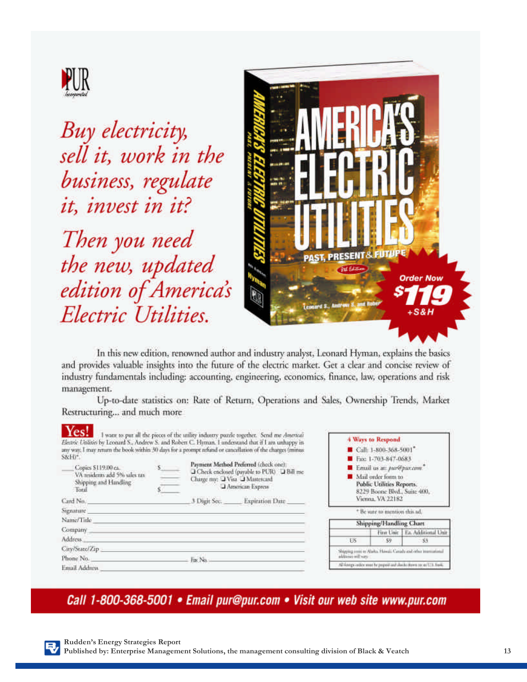

Buy electricity, sell it, work in the business, regulate it, invest in it?

Then you need the new, updated edition of America's Electric Utilities.



In this new edition, renowned author and industry analyst, Leonard Hyman, explains the basics and provides valuable insights into the future of the electric market. Get a clear and concise review of industry fundamentals including: accounting, engineering, economics, finance, law, operations and risk management.

Up-to-date statistics on: Rate of Return, Operations and Sales, Ownership Trends, Market Restructuring... and much more

| Yes!<br>Electric Utilities by Leonard S., Andrew S. and Robert C. Hyman. I understand that if I am unhappy in<br>any way. I may return the book within 30 days for a prompt refund or cancellation of the charges (minus<br>S&H)*<br>Copies \$119.00 ex.<br>VA residents add 5% sales tax<br>Shipping and Handling<br><b>Total</b> |  | I want to put all the pieces of the utility industry pazzle together. Send me America?<br>Payment Method Preferred (check one):<br>Check enclosed (payable to PUR) T Bill me<br>Charge my: UVita U Mastercard<br>American Express | 4 Ways to Respond<br>Call: 1-800-368-5001*<br>Exc 1-703-847-0683<br>E Email us at: pur@pur.com."<br>Mail order form to<br>Public Utilities Reports.<br>8229 Boone Blvd., Suite 400, |                               |                                |  |
|------------------------------------------------------------------------------------------------------------------------------------------------------------------------------------------------------------------------------------------------------------------------------------------------------------------------------------|--|-----------------------------------------------------------------------------------------------------------------------------------------------------------------------------------------------------------------------------------|-------------------------------------------------------------------------------------------------------------------------------------------------------------------------------------|-------------------------------|--------------------------------|--|
| Card No.                                                                                                                                                                                                                                                                                                                           |  | 3 Digit Sec. Expiration Date                                                                                                                                                                                                      |                                                                                                                                                                                     | Vienna, VA 22182              |                                |  |
| Signature                                                                                                                                                                                                                                                                                                                          |  |                                                                                                                                                                                                                                   |                                                                                                                                                                                     | * Be sure to mention this ad. |                                |  |
| Name/Title                                                                                                                                                                                                                                                                                                                         |  |                                                                                                                                                                                                                                   | Shipping/Handling Chart                                                                                                                                                             |                               |                                |  |
| Company                                                                                                                                                                                                                                                                                                                            |  |                                                                                                                                                                                                                                   |                                                                                                                                                                                     |                               | First Unit   Ea. Additional Un |  |
| Address.                                                                                                                                                                                                                                                                                                                           |  |                                                                                                                                                                                                                                   | 115                                                                                                                                                                                 | 59                            | $-53$                          |  |
| City/State/Zip<br>Phone No.                                                                                                                                                                                                                                                                                                        |  | Shipping cost to Alaska, Hawaii. Canada and other trumpeterial<br>additionis will ware                                                                                                                                            |                                                                                                                                                                                     |                               |                                |  |
| $-$ Fine Nex.<br>Email Address                                                                                                                                                                                                                                                                                                     |  |                                                                                                                                                                                                                                   | All foreign certain most be preport and clacks choose on an U.S. Trans."                                                                                                            |                               |                                |  |

Call 1-800-368-5001 • Email pur@pur.com • Visit our web site www.pur.com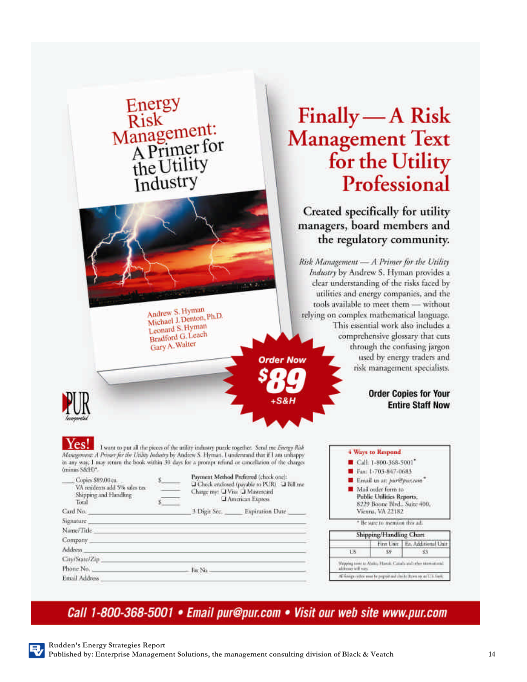|                                                                                                                                                                                                                                                                                                                       | Energy<br>Risk<br>Management:<br>A Primer for<br>the Utility<br>Industry                                     |                                                                                                                                                                                                                                      | Finally - A Risk<br><b>Management Text</b>                                                                                                                                                                                                                                                                                                                          |                                                                                                                                                                                                | for the Utility<br>Professional                                                                                                                                       |
|-----------------------------------------------------------------------------------------------------------------------------------------------------------------------------------------------------------------------------------------------------------------------------------------------------------------------|--------------------------------------------------------------------------------------------------------------|--------------------------------------------------------------------------------------------------------------------------------------------------------------------------------------------------------------------------------------|---------------------------------------------------------------------------------------------------------------------------------------------------------------------------------------------------------------------------------------------------------------------------------------------------------------------------------------------------------------------|------------------------------------------------------------------------------------------------------------------------------------------------------------------------------------------------|-----------------------------------------------------------------------------------------------------------------------------------------------------------------------|
|                                                                                                                                                                                                                                                                                                                       | Andrew S. Hyman<br>Michael J. Denton, Ph.D.<br>Leonard S. Hyman<br><b>Bradford G.Leach</b><br>Gary A. Walter | <b>Order Now</b>                                                                                                                                                                                                                     | Created specifically for utility<br>managers, board members and<br>the regulatory community.<br>Risk Management - A Primer for the Utility<br>Industry by Andrew S. Hyman provides a<br>clear understanding of the risks faced by<br>utilities and energy companies, and the<br>tools available to meet them - without<br>relying on complex mathematical language. |                                                                                                                                                                                                | This essential work also includes a<br>comprehensive glossary that cuts<br>through the confusing jargon<br>used by energy traders and<br>risk management specialists. |
|                                                                                                                                                                                                                                                                                                                       |                                                                                                              | $+$ S&H                                                                                                                                                                                                                              |                                                                                                                                                                                                                                                                                                                                                                     |                                                                                                                                                                                                | <b>Order Copies for Your</b><br><b>Entire Staff Now</b>                                                                                                               |
| Management: A Primer for the Utility Industry by Andrew S. Hyman. I understand that if I am unhappy<br>in any way, I may return the book within 30 days for a prompt refund or cancellation of the charges<br>(minus S&H)*.<br>Copies \$89,00 ca.<br>VA residents add 5% sales pre-<br>Shipping and Handling<br>Total | $\mathbf{S}$                                                                                                 | I want to put all the pieces of the unlity industry puzzle together. Send me Energy Risk<br>Payment Method Preferred (check one):<br>Check enclosed (payable to PUR) C Bill me<br>Charge my: U Visa U Mastercard<br>American Express |                                                                                                                                                                                                                                                                                                                                                                     | 4 Ways to Respond<br>Call: 1-800-368-5001<br>Fax: 1-703-847-0683<br>E Email us at: pur@pur.com <sup>-</sup><br>Mail order form to<br>Public Utilities Reports,<br>8229 Boone Blvd., Suite 400, |                                                                                                                                                                       |
| Card No. 2008 - 2008 - 2008 - 2010 - 2010 - 2010 - 2010 - 2010 - 2010 - 2010 - 2010 - 2010 - 2010 - 2010 - 20                                                                                                                                                                                                         |                                                                                                              | 3 Digit Sec. Expiration Date                                                                                                                                                                                                         |                                                                                                                                                                                                                                                                                                                                                                     | Vienna, VA 22182                                                                                                                                                                               |                                                                                                                                                                       |
| Signature entertainment and the contract of the contract of the contract of the contract of the contract of the                                                                                                                                                                                                       |                                                                                                              |                                                                                                                                                                                                                                      |                                                                                                                                                                                                                                                                                                                                                                     | * He sure to mention this ad.                                                                                                                                                                  |                                                                                                                                                                       |
| Name/Title Name and the contract of the contract of the contract of the contract of the contract of the contract of the contract of the contract of the contract of the contract of the contract of the contract of the contra                                                                                        |                                                                                                              |                                                                                                                                                                                                                                      |                                                                                                                                                                                                                                                                                                                                                                     | Shipping/Handling Chart                                                                                                                                                                        |                                                                                                                                                                       |
| Сотрапу с последником политических политических сотрасливости с последником сотрасливости с последником сотрасливости с                                                                                                                                                                                               |                                                                                                              |                                                                                                                                                                                                                                      |                                                                                                                                                                                                                                                                                                                                                                     |                                                                                                                                                                                                | First Unit   Ea. Additional Unit                                                                                                                                      |
| Address                                                                                                                                                                                                                                                                                                               |                                                                                                              |                                                                                                                                                                                                                                      | US.                                                                                                                                                                                                                                                                                                                                                                 | 59                                                                                                                                                                                             | \$3.                                                                                                                                                                  |
| City/State/Zip 2000 Control 2000 Control 2000 Control 2000 Control 2000 Control 2000 Control 2000 Control 2000                                                                                                                                                                                                        |                                                                                                              |                                                                                                                                                                                                                                      |                                                                                                                                                                                                                                                                                                                                                                     |                                                                                                                                                                                                | Shipping tool to Abalta. Hawaii, Canada and other international                                                                                                       |
| Phone No. 2008 - The No. 2008 - The No. 2008 - The No. 2008 - The No. 2008 - The No. 2008 - The No. 2008 - The No. 2008 - The No. 2008 - The No. 2008 - The No. 2008 - The No. 2008 - The No. 2008 - The No. 2008 - The No. 20                                                                                        |                                                                                                              |                                                                                                                                                                                                                                      | althouse will vary.                                                                                                                                                                                                                                                                                                                                                 |                                                                                                                                                                                                |                                                                                                                                                                       |
| Email Address and the contract of the contract of the contract of the contract of the contract of the contract of the contract of the contract of the contract of the contract of the contract of the contract of the contract                                                                                        |                                                                                                              |                                                                                                                                                                                                                                      |                                                                                                                                                                                                                                                                                                                                                                     |                                                                                                                                                                                                | All freegs onless must be pupped and clacks dozen on an U.S. Franc-                                                                                                   |

## Call 1-800-368-5001 • Email pur@pur.com • Visit our web site www.pur.com